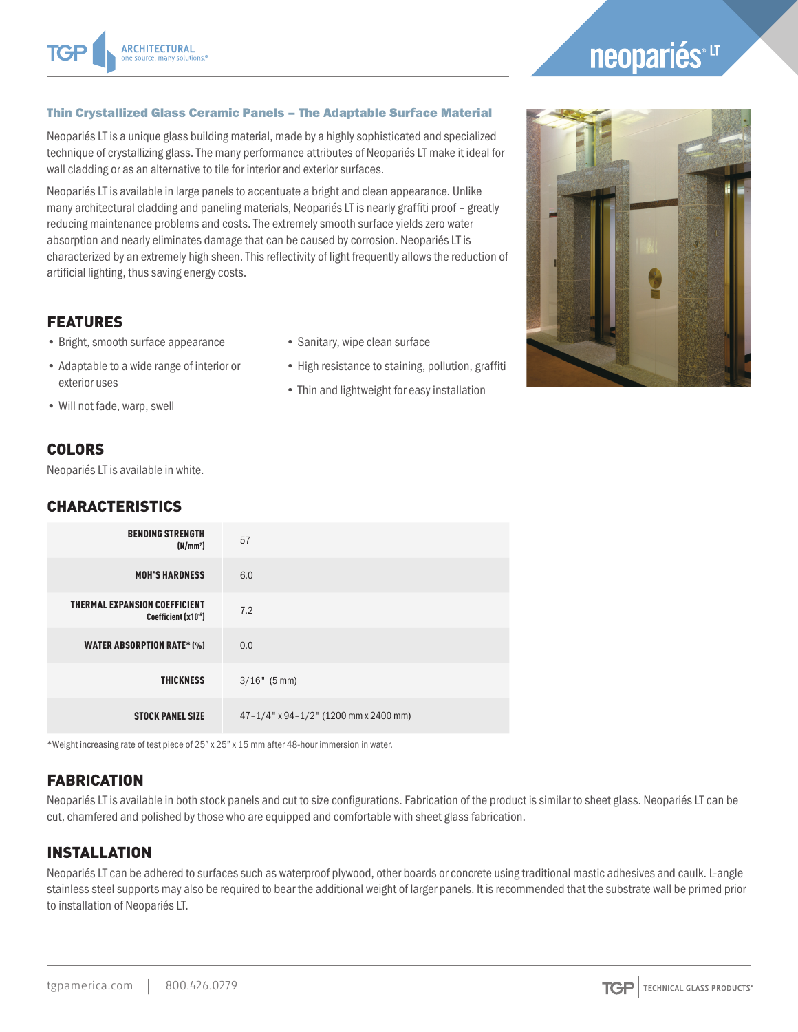# neopariés<sup>®LT</sup>

#### Thin Crystallized Glass Ceramic Panels – The Adaptable Surface Material

Neopariés LT is a unique glass building material, made by a highly sophisticated and specialized technique of crystallizing glass. The many performance attributes of Neopariés LT make it ideal for wall cladding or as an alternative to tile for interior and exterior surfaces.

Neopariés LT is available in large panels to accentuate a bright and clean appearance. Unlike many architectural cladding and paneling materials, Neopariés LT is nearly graffiti proof – greatly reducing maintenance problems and costs. The extremely smooth surface yields zero water absorption and nearly eliminates damage that can be caused by corrosion. Neopariés LT is characterized by an extremely high sheen. This reflectivity of light frequently allows the reduction of artificial lighting, thus saving energy costs.

#### FEATURES

- Bright, smooth surface appearance
- Adaptable to a wide range of interior or exterior uses
- Will not fade, warp, swell

#### • Sanitary, wipe clean surface

- High resistance to staining, pollution, graffiti
- Thin and lightweight for easy installation



### COLORS

Neopariés LT is available in white.

#### CHARACTERISTICS

| <b>BENDING STRENGTH</b><br>(N/mm <sup>2</sup> )               | 57                                              |
|---------------------------------------------------------------|-------------------------------------------------|
| <b>MOH'S HARDNESS</b>                                         | 6.0                                             |
| <b>THERMAL EXPANSION COEFFICIENT</b><br>Coefficient $(x10-6)$ | 7.2                                             |
| <b>WATER ABSORPTION RATE* (%)</b>                             | 0.0                                             |
| <b>THICKNESS</b>                                              | $3/16"$ (5 mm)                                  |
| <b>STOCK PANEL SIZE</b>                                       | $47 - 1/4$ " x 94 – $1/2$ " (1200 mm x 2400 mm) |

\*Weight increasing rate of test piece of 25" x 25" x 15 mm after 48-hour immersion in water.

# **FABRICATION**

Neopariés LT is available in both stock panels and cut to size configurations. Fabrication of the product is similar to sheet glass. Neopariés LT can be cut, chamfered and polished by those who are equipped and comfortable with sheet glass fabrication.

## INSTALLATION

Neopariés LT can be adhered to surfaces such as waterproof plywood, other boards or concrete using traditional mastic adhesives and caulk. L-angle stainless steel supports may also be required to bear the additional weight of larger panels. It is recommended that the substrate wall be primed prior to installation of Neopariés LT.

**TGP** TECHNICAL GLASS PRODUCTS®